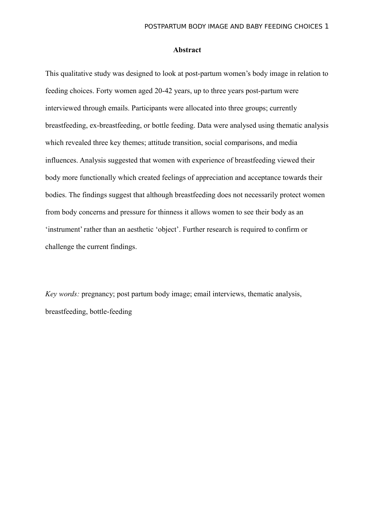#### **Abstract**

This qualitative study was designed to look at post-partum women's body image in relation to feeding choices. Forty women aged 20-42 years, up to three years post-partum were interviewed through emails. Participants were allocated into three groups; currently breastfeeding, ex-breastfeeding, or bottle feeding. Data were analysed using thematic analysis which revealed three key themes; attitude transition, social comparisons, and media influences. Analysis suggested that women with experience of breastfeeding viewed their body more functionally which created feelings of appreciation and acceptance towards their bodies. The findings suggest that although breastfeeding does not necessarily protect women from body concerns and pressure for thinness it allows women to see their body as an 'instrument' rather than an aesthetic 'object'. Further research is required to confirm or challenge the current findings.

*Key words:* pregnancy; post partum body image; email interviews, thematic analysis, breastfeeding, bottle-feeding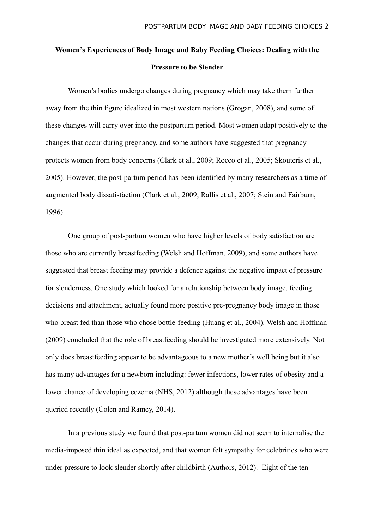# **Women's Experiences of Body Image and Baby Feeding Choices: Dealing with the Pressure to be Slender**

Women's bodies undergo changes during pregnancy which may take them further away from the thin figure idealized in most western nations (Grogan, 2008), and some of these changes will carry over into the postpartum period. Most women adapt positively to the changes that occur during pregnancy, and some authors have suggested that pregnancy protects women from body concerns (Clark et al., 2009; Rocco et al., 2005; Skouteris et al., 2005). However, the post-partum period has been identified by many researchers as a time of augmented body dissatisfaction (Clark et al., 2009; Rallis et al., 2007; Stein and Fairburn, 1996).

One group of post-partum women who have higher levels of body satisfaction are those who are currently breastfeeding (Welsh and Hoffman, 2009), and some authors have suggested that breast feeding may provide a defence against the negative impact of pressure for slenderness. One study which looked for a relationship between body image, feeding decisions and attachment, actually found more positive pre-pregnancy body image in those who breast fed than those who chose bottle-feeding (Huang et al., 2004). Welsh and Hoffman (2009) concluded that the role of breastfeeding should be investigated more extensively. Not only does breastfeeding appear to be advantageous to a new mother's well being but it also has many advantages for a newborn including: fewer infections, lower rates of obesity and a lower chance of developing eczema (NHS, 2012) although these advantages have been queried recently (Colen and Ramey, 2014).

In a previous study we found that post-partum women did not seem to internalise the media-imposed thin ideal as expected, and that women felt sympathy for celebrities who were under pressure to look slender shortly after childbirth (Authors, 2012). Eight of the ten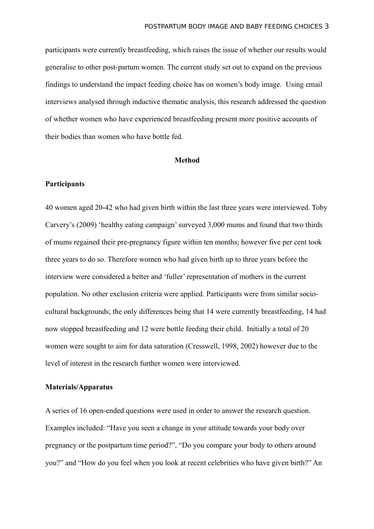participants were currently breastfeeding, which raises the issue of whether our results would generalise to other post-partum women. The current study set out to expand on the previous findings to understand the impact feeding choice has on women's body image. Using email interviews analysed through inductive thematic analysis, this research addressed the question of whether women who have experienced breastfeeding present more positive accounts of their bodies than women who have bottle fed.

#### **Method**

## **Participants**

40 women aged 20-42 who had given birth within the last three years were interviewed. Toby Carvery's (2009) 'healthy eating campaign' surveyed 3,000 mums and found that two thirds of mums regained their pre-pregnancy figure within ten months; however five per cent took three years to do so. Therefore women who had given birth up to three years before the interview were considered a better and 'fuller' representation of mothers in the current population. No other exclusion criteria were applied. Participants were from similar sociocultural backgrounds; the only differences being that 14 were currently breastfeeding, 14 had now stopped breastfeeding and 12 were bottle feeding their child. Initially a total of 20 women were sought to aim for data saturation (Cresswell, 1998, 2002) however due to the level of interest in the research further women were interviewed.

#### **Materials/Apparatus**

A series of 16 open-ended questions were used in order to answer the research question. Examples included: "Have you seen a change in your attitude towards your body over pregnancy or the postpartum time period?", "Do you compare your body to others around you?" and "How do you feel when you look at recent celebrities who have given birth?" An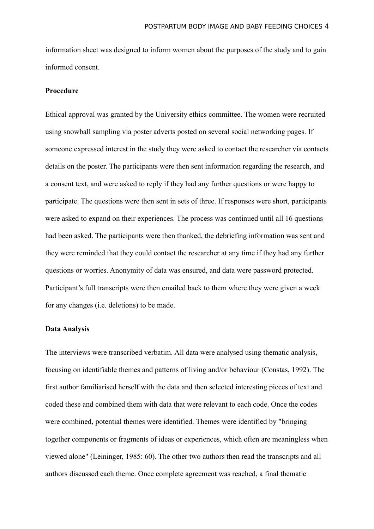information sheet was designed to inform women about the purposes of the study and to gain informed consent.

#### **Procedure**

Ethical approval was granted by the University ethics committee. The women were recruited using snowball sampling via poster adverts posted on several social networking pages. If someone expressed interest in the study they were asked to contact the researcher via contacts details on the poster. The participants were then sent information regarding the research, and a consent text, and were asked to reply if they had any further questions or were happy to participate. The questions were then sent in sets of three. If responses were short, participants were asked to expand on their experiences. The process was continued until all 16 questions had been asked. The participants were then thanked, the debriefing information was sent and they were reminded that they could contact the researcher at any time if they had any further questions or worries. Anonymity of data was ensured, and data were password protected. Participant's full transcripts were then emailed back to them where they were given a week for any changes (i.e. deletions) to be made.

## **Data Analysis**

The interviews were transcribed verbatim. All data were analysed using thematic analysis, focusing on identifiable themes and patterns of living and/or behaviour (Constas, 1992). The first author familiarised herself with the data and then selected interesting pieces of text and coded these and combined them with data that were relevant to each code. Once the codes were combined, potential themes were identified. Themes were identified by "bringing together components or fragments of ideas or experiences, which often are meaningless when viewed alone" (Leininger, 1985: 60). The other two authors then read the transcripts and all authors discussed each theme. Once complete agreement was reached, a final thematic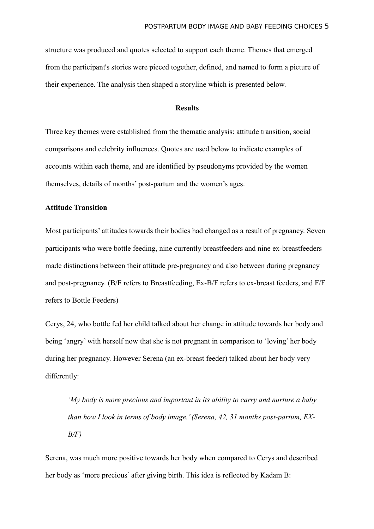structure was produced and quotes selected to support each theme. Themes that emerged from the participant's stories were pieced together, defined, and named to form a picture of their experience. The analysis then shaped a storyline which is presented below.

## **Results**

Three key themes were established from the thematic analysis: attitude transition, social comparisons and celebrity influences. Quotes are used below to indicate examples of accounts within each theme, and are identified by pseudonyms provided by the women themselves, details of months' post-partum and the women's ages.

#### **Attitude Transition**

Most participants' attitudes towards their bodies had changed as a result of pregnancy. Seven participants who were bottle feeding, nine currently breastfeeders and nine ex-breastfeeders made distinctions between their attitude pre-pregnancy and also between during pregnancy and post-pregnancy. (B/F refers to Breastfeeding, Ex-B/F refers to ex-breast feeders, and F/F refers to Bottle Feeders)

Cerys, 24, who bottle fed her child talked about her change in attitude towards her body and being 'angry' with herself now that she is not pregnant in comparison to 'loving' her body during her pregnancy. However Serena (an ex-breast feeder) talked about her body very differently:

*'My body is more precious and important in its ability to carry and nurture a baby than how I look in terms of body image.' (Serena, 42, 31 months post-partum, EX-B/F)*

Serena, was much more positive towards her body when compared to Cerys and described her body as 'more precious' after giving birth. This idea is reflected by Kadam B: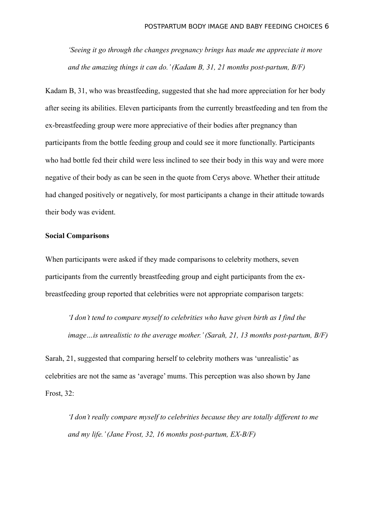*'Seeing it go through the changes pregnancy brings has made me appreciate it more and the amazing things it can do.' (Kadam B, 31, 21 months post-partum, B/F)*

Kadam B, 31, who was breastfeeding, suggested that she had more appreciation for her body after seeing its abilities. Eleven participants from the currently breastfeeding and ten from the ex-breastfeeding group were more appreciative of their bodies after pregnancy than participants from the bottle feeding group and could see it more functionally. Participants who had bottle fed their child were less inclined to see their body in this way and were more negative of their body as can be seen in the quote from Cerys above. Whether their attitude had changed positively or negatively, for most participants a change in their attitude towards their body was evident.

#### **Social Comparisons**

When participants were asked if they made comparisons to celebrity mothers, seven participants from the currently breastfeeding group and eight participants from the exbreastfeeding group reported that celebrities were not appropriate comparison targets:

*'I don't tend to compare myself to celebrities who have given birth as I find the image…is unrealistic to the average mother.' (Sarah, 21, 13 months post-partum, B/F)*

Sarah, 21, suggested that comparing herself to celebrity mothers was 'unrealistic' as celebrities are not the same as 'average' mums. This perception was also shown by Jane Frost, 32:

*'I don't really compare myself to celebrities because they are totally different to me and my life.' (Jane Frost, 32, 16 months post-partum, EX-B/F)*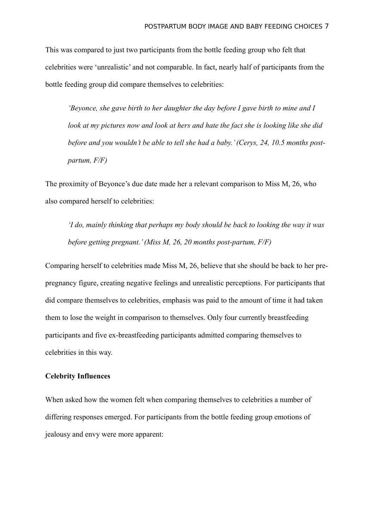This was compared to just two participants from the bottle feeding group who felt that celebrities were 'unrealistic' and not comparable. In fact, nearly half of participants from the bottle feeding group did compare themselves to celebrities:

*'Beyonce, she gave birth to her daughter the day before I gave birth to mine and I look at my pictures now and look at hers and hate the fact she is looking like she did before and you wouldn't be able to tell she had a baby.' (Cerys, 24, 10.5 months postpartum, F/F)*

The proximity of Beyonce's due date made her a relevant comparison to Miss M, 26, who also compared herself to celebrities:

*'I do, mainly thinking that perhaps my body should be back to looking the way it was before getting pregnant.' (Miss M, 26, 20 months post-partum, F/F)*

Comparing herself to celebrities made Miss M, 26, believe that she should be back to her prepregnancy figure, creating negative feelings and unrealistic perceptions. For participants that did compare themselves to celebrities, emphasis was paid to the amount of time it had taken them to lose the weight in comparison to themselves. Only four currently breastfeeding participants and five ex-breastfeeding participants admitted comparing themselves to celebrities in this way.

## **Celebrity Influences**

When asked how the women felt when comparing themselves to celebrities a number of differing responses emerged. For participants from the bottle feeding group emotions of jealousy and envy were more apparent: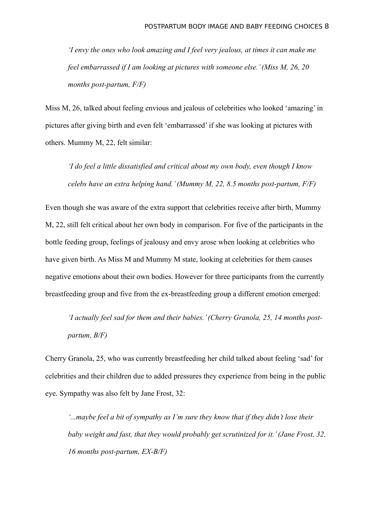*'I envy the ones who look amazing and I feel very jealous, at times it can make me feel embarrassed if I am looking at pictures with someone else.' (Miss M, 26, 20 months post-partum, F/F)*

Miss M, 26, talked about feeling envious and jealous of celebrities who looked 'amazing' in pictures after giving birth and even felt 'embarrassed' if she was looking at pictures with others. Mummy M, 22, felt similar:

*'I do feel a little dissatisfied and critical about my own body, even though I know celebs have an extra helping hand.' (Mummy M, 22, 8.5 months post-partum, F/F)*

Even though she was aware of the extra support that celebrities receive after birth, Mummy M, 22, still felt critical about her own body in comparison. For five of the participants in the bottle feeding group, feelings of jealousy and envy arose when looking at celebrities who have given birth. As Miss M and Mummy M state, looking at celebrities for them causes negative emotions about their own bodies. However for three participants from the currently breastfeeding group and five from the ex-breastfeeding group a different emotion emerged:

*'I actually feel sad for them and their babies.' (Cherry Granola, 25, 14 months postpartum, B/F)*

Cherry Granola, 25, who was currently breastfeeding her child talked about feeling 'sad' for celebrities and their children due to added pressures they experience from being in the public eye. Sympathy was also felt by Jane Frost, 32:

*'...maybe feel a bit of sympathy as I'm sure they know that if they didn't lose their baby weight and fast, that they would probably get scrutinized for it.' (Jane Frost, 32, 16 months post-partum, EX-B/F)*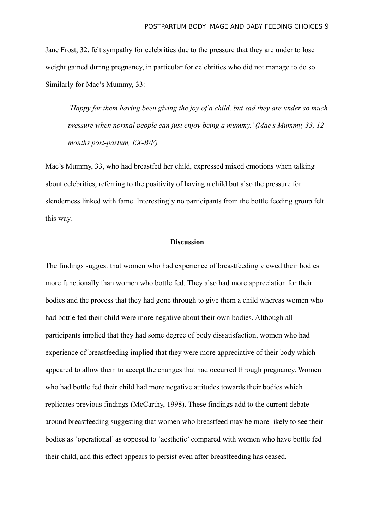Jane Frost, 32, felt sympathy for celebrities due to the pressure that they are under to lose weight gained during pregnancy, in particular for celebrities who did not manage to do so. Similarly for Mac's Mummy, 33:

*'Happy for them having been giving the joy of a child, but sad they are under so much pressure when normal people can just enjoy being a mummy.' (Mac's Mummy, 33, 12 months post-partum, EX-B/F)*

Mac's Mummy, 33, who had breastfed her child, expressed mixed emotions when talking about celebrities, referring to the positivity of having a child but also the pressure for slenderness linked with fame. Interestingly no participants from the bottle feeding group felt this way.

#### **Discussion**

The findings suggest that women who had experience of breastfeeding viewed their bodies more functionally than women who bottle fed. They also had more appreciation for their bodies and the process that they had gone through to give them a child whereas women who had bottle fed their child were more negative about their own bodies. Although all participants implied that they had some degree of body dissatisfaction, women who had experience of breastfeeding implied that they were more appreciative of their body which appeared to allow them to accept the changes that had occurred through pregnancy. Women who had bottle fed their child had more negative attitudes towards their bodies which replicates previous findings (McCarthy, 1998). These findings add to the current debate around breastfeeding suggesting that women who breastfeed may be more likely to see their bodies as 'operational' as opposed to 'aesthetic' compared with women who have bottle fed their child, and this effect appears to persist even after breastfeeding has ceased.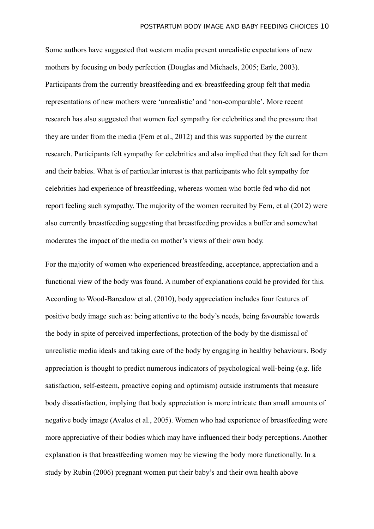Some authors have suggested that western media present unrealistic expectations of new mothers by focusing on body perfection (Douglas and Michaels, 2005; Earle, 2003). Participants from the currently breastfeeding and ex-breastfeeding group felt that media representations of new mothers were 'unrealistic' and 'non-comparable'. More recent research has also suggested that women feel sympathy for celebrities and the pressure that they are under from the media (Fern et al., 2012) and this was supported by the current research. Participants felt sympathy for celebrities and also implied that they felt sad for them and their babies. What is of particular interest is that participants who felt sympathy for celebrities had experience of breastfeeding, whereas women who bottle fed who did not report feeling such sympathy. The majority of the women recruited by Fern, et al (2012) were also currently breastfeeding suggesting that breastfeeding provides a buffer and somewhat moderates the impact of the media on mother's views of their own body.

For the majority of women who experienced breastfeeding, acceptance, appreciation and a functional view of the body was found. A number of explanations could be provided for this. According to Wood-Barcalow et al. (2010), body appreciation includes four features of positive body image such as: being attentive to the body's needs, being favourable towards the body in spite of perceived imperfections, protection of the body by the dismissal of unrealistic media ideals and taking care of the body by engaging in healthy behaviours. Body appreciation is thought to predict numerous indicators of psychological well-being (e.g. life satisfaction, self-esteem, proactive coping and optimism) outside instruments that measure body dissatisfaction, implying that body appreciation is more intricate than small amounts of negative body image (Avalos et al., 2005). Women who had experience of breastfeeding were more appreciative of their bodies which may have influenced their body perceptions. Another explanation is that breastfeeding women may be viewing the body more functionally. In a study by Rubin (2006) pregnant women put their baby's and their own health above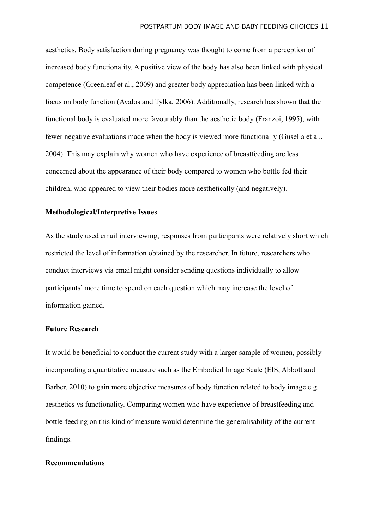aesthetics. Body satisfaction during pregnancy was thought to come from a perception of increased body functionality. A positive view of the body has also been linked with physical competence (Greenleaf et al., 2009) and greater body appreciation has been linked with a focus on body function (Avalos and Tylka, 2006). Additionally, research has shown that the functional body is evaluated more favourably than the aesthetic body (Franzoi, 1995), with fewer negative evaluations made when the body is viewed more functionally (Gusella et al., 2004). This may explain why women who have experience of breastfeeding are less concerned about the appearance of their body compared to women who bottle fed their children, who appeared to view their bodies more aesthetically (and negatively).

## **Methodological/Interpretive Issues**

As the study used email interviewing, responses from participants were relatively short which restricted the level of information obtained by the researcher. In future, researchers who conduct interviews via email might consider sending questions individually to allow participants' more time to spend on each question which may increase the level of information gained.

## **Future Research**

It would be beneficial to conduct the current study with a larger sample of women, possibly incorporating a quantitative measure such as the Embodied Image Scale (EIS, Abbott and Barber, 2010) to gain more objective measures of body function related to body image e.g. aesthetics vs functionality. Comparing women who have experience of breastfeeding and bottle-feeding on this kind of measure would determine the generalisability of the current findings.

#### **Recommendations**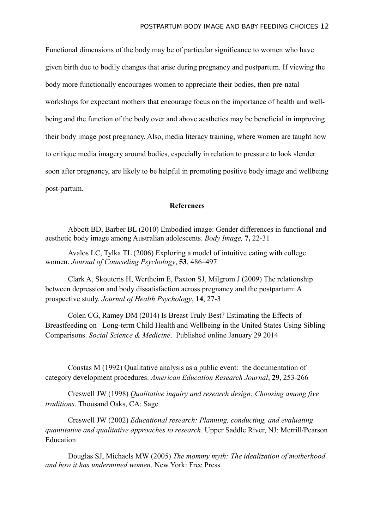Functional dimensions of the body may be of particular significance to women who have given birth due to bodily changes that arise during pregnancy and postpartum. If viewing the body more functionally encourages women to appreciate their bodies, then pre-natal workshops for expectant mothers that encourage focus on the importance of health and wellbeing and the function of the body over and above aesthetics may be beneficial in improving their body image post pregnancy. Also, media literacy training, where women are taught how to critique media imagery around bodies, especially in relation to pressure to look slender soon after pregnancy, are likely to be helpful in promoting positive body image and wellbeing post-partum.

## **References**

Abbott BD, Barber BL (2010) Embodied image: Gender differences in functional and aesthetic body image among Australian adolescents. *Body Image,* **7,** 22-31

Avalos LC, Tylka TL (2006) Exploring a model of intuitive eating with college women. *Journal of Counseling Psychology*, **53**, 486–497

Clark A, Skouteris H, Wertheim E, Paxton SJ, Milgrom J (2009) The relationship between depression and body dissatisfaction across pregnancy and the postpartum: A prospective study. *Journal of Health Psychology*, **14**, 27-3

Colen CG, Ramey DM (2014) Is Breast Truly Best? Estimating the Effects of Breastfeeding on Long-term Child Health and Wellbeing in the United States Using Sibling Comparisons. *Social Science & Medicine*. Published online January 29 2014

Constas M (1992) Qualitative analysis as a public event: the documentation of category development procedures. *American Education Research Journal*, **29**, 253-266

Creswell JW (1998) *Qualitative inquiry and research design: Choosing among five traditions*. Thousand Oaks, CA: Sage

Creswell JW (2002) *Educational research: Planning, conducting, and evaluating quantitative and qualitative approaches to research*. Upper Saddle River, NJ: Merrill/Pearson Education

Douglas SJ, Michaels MW (2005) *The mommy myth: The idealization of motherhood and how it has undermined women*. New York: Free Press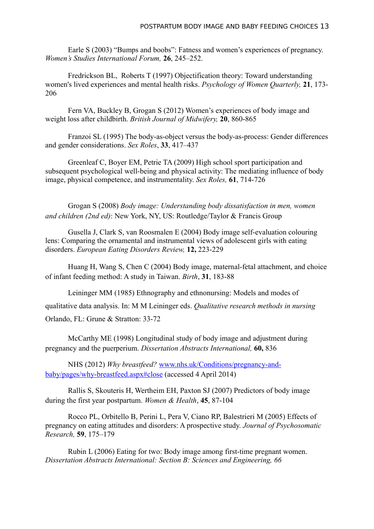Earle S (2003) "Bumps and boobs": Fatness and women's experiences of pregnancy. *Women's Studies International Forum,* **26**, 245–252.

Fredrickson BL, Roberts T (1997) Objectification theory: Toward understanding women's lived experiences and mental health risks. *Psychology of Women Quarterly,* **21**, 173- 206

Fern VA, Buckley B, Grogan S (2012) Women's experiences of body image and weight loss after childbirth. *British Journal of Midwifery,* **20**, 860-865

Franzoi SL (1995) The body-as-object versus the body-as-process: Gender differences and gender considerations. *Sex Roles*, **33**, 417–437

Greenleaf C, Boyer EM, Petrie TA (2009) High school sport participation and subsequent psychological well-being and physical activity: The mediating influence of body image, physical competence, and instrumentality. *Sex Roles,* **61**, 714-726

Grogan S (2008) *Body image: Understanding body dissatisfaction in men, women and children (2nd ed)*: New York, NY, US: Routledge/Taylor & Francis Group

Gusella J, Clark S, van Roosmalen E (2004) Body image self-evaluation colouring lens: Comparing the ornamental and instrumental views of adolescent girls with eating disorders. *European Eating Disorders Review,* **12,** 223-229

Huang H, Wang S, Chen C (2004) Body image, maternal-fetal attachment, and choice of infant feeding method: A study in Taiwan. *Birth*, **31**, 183-88

Leininger MM (1985) Ethnography and ethnonursing: Models and modes of qualitative data analysis. In: M M Leininger eds. *Qualitative research methods in nursing* Orlando, FL: Grune & Stratton: 33-72

McCarthy ME (1998) Longitudinal study of body image and adjustment during pregnancy and the puerperium. *Dissertation Abstracts International,* **60,** 836

NHS (2012) *Why breastfeed?* [www.nhs.uk/Conditions/pregnancy-and](http://www.nhs.uk/Conditions/pregnancy-and-baby/pages/why-breastfeed.aspx)[baby/pages/why-breastfeed.aspx#close](http://www.nhs.uk/Conditions/pregnancy-and-baby/pages/why-breastfeed.aspx) (accessed 4 April 2014)

Rallis S, Skouteris H, Wertheim EH, Paxton SJ (2007) Predictors of body image during the first year postpartum. *Women & Health*, **45**, 87-104

Rocco PL, Orbitello B, Perini L, Pera V, Ciano RP, Balestrieri M (2005) Effects of pregnancy on eating attitudes and disorders: A prospective study. *Journal of Psychosomatic Research,* **59**, 175–179

Rubin L (2006) Eating for two: Body image among first-time pregnant women. *Dissertation Abstracts International: Section B: Sciences and Engineering, 66*